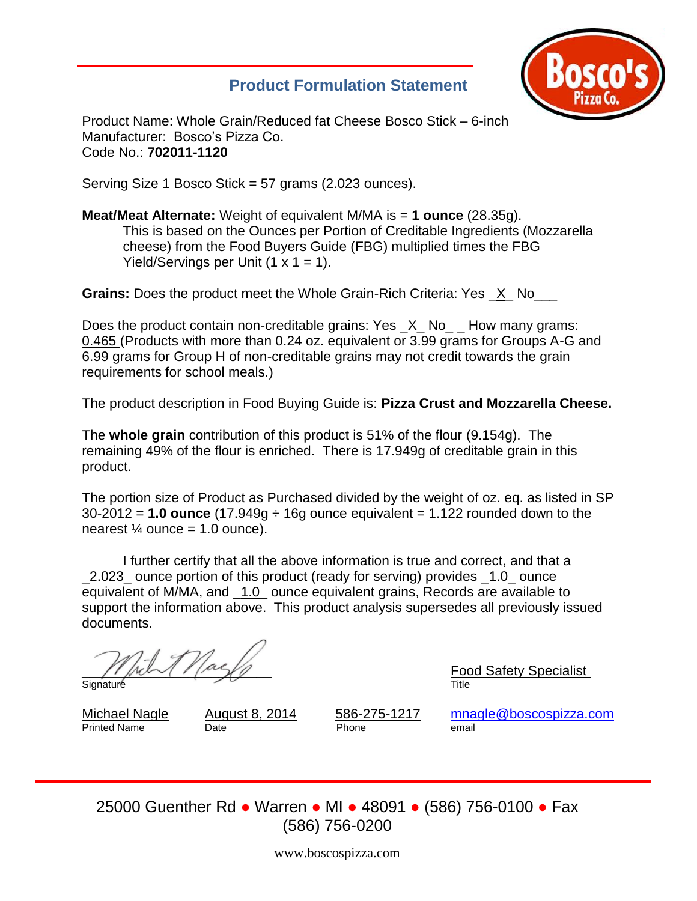# **Product Formulation Statement**



Product Name: Whole Grain/Reduced fat Cheese Bosco Stick – 6-inch Manufacturer: Bosco's Pizza Co. Code No.: **702011-1120**

Serving Size 1 Bosco Stick = 57 grams (2.023 ounces).

**Meat/Meat Alternate:** Weight of equivalent M/MA is = **1 ounce** (28.35g). This is based on the Ounces per Portion of Creditable Ingredients (Mozzarella cheese) from the Food Buyers Guide (FBG) multiplied times the FBG Yield/Servings per Unit  $(1 \times 1 = 1)$ .

**Grains:** Does the product meet the Whole Grain-Rich Criteria: Yes X No

Does the product contain non-creditable grains: Yes \_X\_No\_ \_ How many grams: 0.465 (Products with more than 0.24 oz. equivalent or 3.99 grams for Groups A-G and 6.99 grams for Group H of non-creditable grains may not credit towards the grain requirements for school meals.)

The product description in Food Buying Guide is: **Pizza Crust and Mozzarella Cheese.**

The **whole grain** contribution of this product is 51% of the flour (9.154g). The remaining 49% of the flour is enriched. There is 17.949g of creditable grain in this product.

The portion size of Product as Purchased divided by the weight of oz. eq. as listed in SP 30-2012 = **1.0 ounce** (17.949g ÷ 16g ounce equivalent = 1.122 rounded down to the nearest  $\frac{1}{4}$  ounce = 1.0 ounce).

I further certify that all the above information is true and correct, and that a 2.023 ounce portion of this product (ready for serving) provides 1.0 ounce equivalent of M/MA, and \_1.0\_ ounce equivalent grains, Records are available to support the information above. This product analysis supersedes all previously issued documents.

Signature Title

\_\_\_\_\_\_\_\_\_\_\_\_\_\_\_\_\_\_\_\_\_\_\_\_\_ Food Safety Specialist

Printed Name Date **Date Date** Phone

Michael Nagle August 8, 2014 586-275-1217 [mnagle@boscospizza.com](mailto:mnagle@boscospizza.com)

25000 Guenther Rd ● Warren ● MI ● 48091 ● (586) 756-0100 ● Fax (586) 756-0200

www.boscospizza.com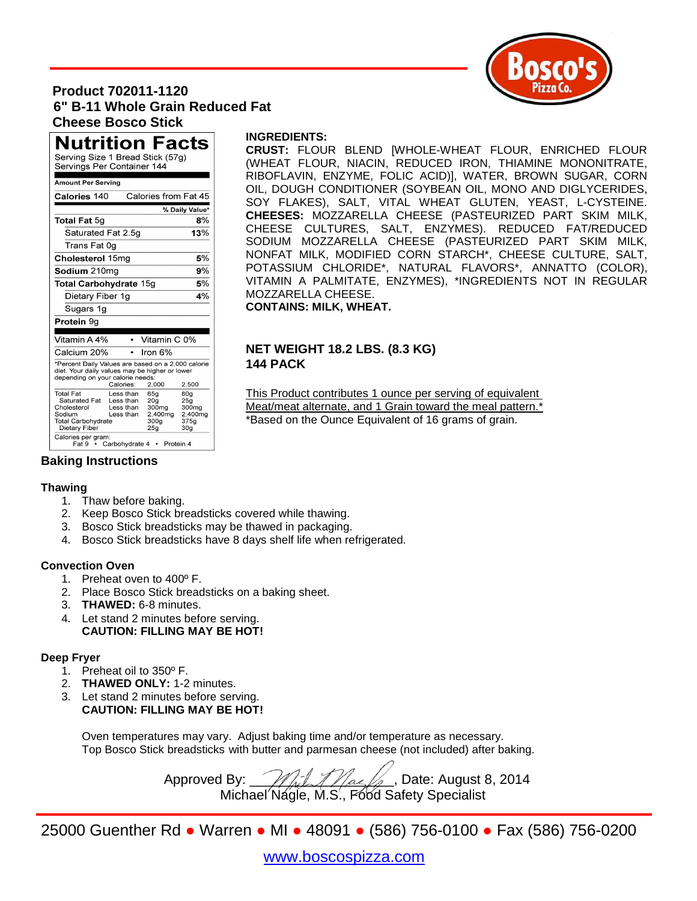

## **Product 702011-1120 6" B-11 Whole Grain Reduced Fat Cheese Bosco Stick**

**Nutrition Facts** Serving Size 1 Bread Stick (57g) Servings Per Container 144

| Amount Per Serving                                                                                                                                                      |                                                                            |                                                                                    |                                                           |  |  |  |  |
|-------------------------------------------------------------------------------------------------------------------------------------------------------------------------|----------------------------------------------------------------------------|------------------------------------------------------------------------------------|-----------------------------------------------------------|--|--|--|--|
| Calories from Fat 45<br>Calories 140                                                                                                                                    |                                                                            |                                                                                    |                                                           |  |  |  |  |
| % Daily Value*                                                                                                                                                          |                                                                            |                                                                                    |                                                           |  |  |  |  |
| Total Fat 5g                                                                                                                                                            |                                                                            |                                                                                    | 8%                                                        |  |  |  |  |
| Saturated Fat 2.5g                                                                                                                                                      |                                                                            |                                                                                    | 13%                                                       |  |  |  |  |
| Trans Fat 0g                                                                                                                                                            |                                                                            |                                                                                    |                                                           |  |  |  |  |
| Cholesterol 15mg                                                                                                                                                        | 5%                                                                         |                                                                                    |                                                           |  |  |  |  |
| Sodium 210mg                                                                                                                                                            | 9%                                                                         |                                                                                    |                                                           |  |  |  |  |
| <b>Total Carbohydrate 15g</b>                                                                                                                                           | 5%                                                                         |                                                                                    |                                                           |  |  |  |  |
| Dietary Fiber 1g                                                                                                                                                        | 4%                                                                         |                                                                                    |                                                           |  |  |  |  |
| Sugars 1g                                                                                                                                                               |                                                                            |                                                                                    |                                                           |  |  |  |  |
| Protein 9g                                                                                                                                                              |                                                                            |                                                                                    |                                                           |  |  |  |  |
| Vitamin A 4%                                                                                                                                                            |                                                                            | Vitamin C 0%                                                                       |                                                           |  |  |  |  |
|                                                                                                                                                                         |                                                                            |                                                                                    |                                                           |  |  |  |  |
| Calcium 20%                                                                                                                                                             |                                                                            | Iron 6%                                                                            |                                                           |  |  |  |  |
| *Percent Daily Values are based on a 2,000 calorie<br>diet. Your daily values may be higher or lower<br>depending on your calorie needs:<br>Calories:<br>2,000<br>2,500 |                                                                            |                                                                                    |                                                           |  |  |  |  |
| <b>Total Fat</b><br>Saturated Fat<br>Cholesterol<br>Sodium<br>Total Carbohvdrate<br>Dietary Fiber<br>Calories per gram:                                                 | Less than<br>Less than<br>Less than<br>Less than<br>Fat 9 • Carbohydrate 4 | 65g<br>20 <sub>g</sub><br>300mg<br>2,400mg<br>300a<br>25 <sub>g</sub><br>Protein 4 | 80a<br>25q<br>300mg<br>2.400mg<br>375a<br>30 <sub>g</sub> |  |  |  |  |

#### **INGREDIENTS:**

**CRUST:** FLOUR BLEND [WHOLE-WHEAT FLOUR, ENRICHED FLOUR (WHEAT FLOUR, NIACIN, REDUCED IRON, THIAMINE MONONITRATE, RIBOFLAVIN, ENZYME, FOLIC ACID)], WATER, BROWN SUGAR, CORN OIL, DOUGH CONDITIONER (SOYBEAN OIL, MONO AND DIGLYCERIDES, SOY FLAKES), SALT, VITAL WHEAT GLUTEN, YEAST, L-CYSTEINE. **CHEESES:** MOZZARELLA CHEESE (PASTEURIZED PART SKIM MILK, CHEESE CULTURES, SALT, ENZYMES). REDUCED FAT/REDUCED SODIUM MOZZARELLA CHEESE (PASTEURIZED PART SKIM MILK, NONFAT MILK, MODIFIED CORN STARCH\*, CHEESE CULTURE, SALT, POTASSIUM CHLORIDE\*, NATURAL FLAVORS\*, ANNATTO (COLOR), VITAMIN A PALMITATE, ENZYMES), \*INGREDIENTS NOT IN REGULAR MOZZARELLA CHEESE.

**CONTAINS: MILK, WHEAT.** 

#### **NET WEIGHT 18.2 LBS. (8.3 KG) 144 PACK**

This Product contributes 1 ounce per serving of equivalent Meat/meat alternate, and 1 Grain toward the meal pattern.<sup>\*</sup> \*Based on the Ounce Equivalent of 16 grams of grain.

### **Baking Instructions**

#### **Thawing**

- 1. Thaw before baking.
- 2. Keep Bosco Stick breadsticks covered while thawing.
- 3. Bosco Stick breadsticks may be thawed in packaging.
- 4. Bosco Stick breadsticks have 8 days shelf life when refrigerated.

#### **Convection Oven**

- 1. Preheat oven to 400º F.
- 2. Place Bosco Stick breadsticks on a baking sheet.
- 3. **THAWED:** 6-8 minutes.
- 4. Let stand 2 minutes before serving. **CAUTION: FILLING MAY BE HOT!**

#### **Deep Fryer**

- 1. Preheat oil to 350º F.
- 2. **THAWED ONLY:** 1-2 minutes.
- 3. Let stand 2 minutes before serving. **CAUTION: FILLING MAY BE HOT!**

Oven temperatures may vary. Adjust baking time and/or temperature as necessary. Top Bosco Stick breadsticks with butter and parmesan cheese (not included) after baking.

Approved By:  $\mathcal{M}$   $\mathcal{M}$   $\mathcal{M}$   $\mathcal{M}$   $\mathcal{M}$  , Date: August 8, 2014 Michael Nagle, M.S., Food Safety Specialist

25000 Guenther Rd ● Warren ● MI ● 48091 ● (586) 756-0100 ● Fax (586) 756-0200

# [www.boscospizza.com](http://www.boscospizza.com/)